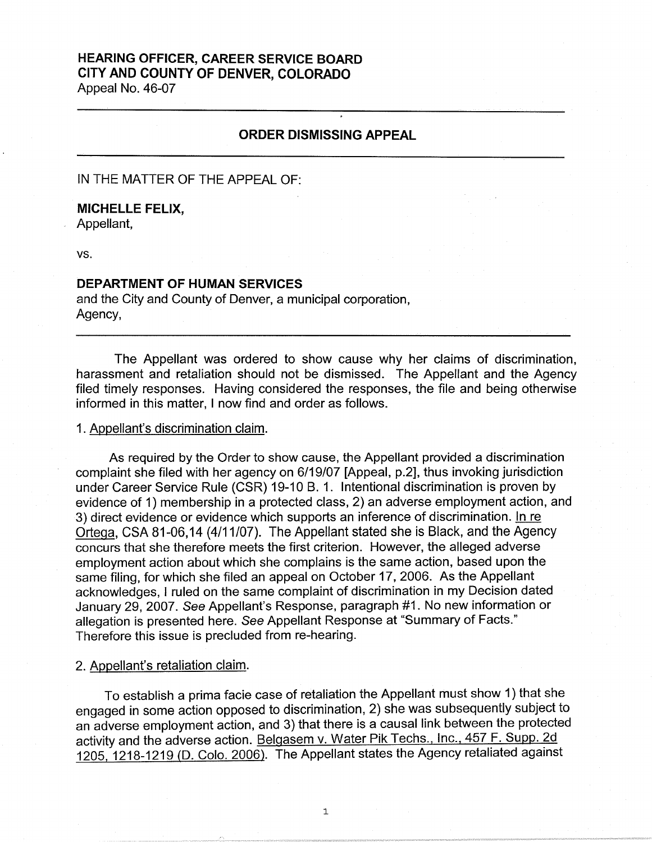## **HEARING OFFICER, CAREER SERVICE BOARD CITY AND COUNTY OF DENVER, COLORADO**  Appeal No. 46-07

# **ORDER DISMISSING APPEAL**

IN THE MATTER OF THE APPEAL OF:

# **MICHELLE FELIX,**

Appellant,

vs.

## **DEPARTMENT OF HUMAN SERVICES**

and the City and County of Denver, a municipal corporation, Agency,

The Appellant was ordered to show cause why her claims of discrimination, harassment and retaliation should not be dismissed. The Appellant and the Agency filed timely responses. Having considered the responses, the file and being otherwise informed in this matter, I now find and order as follows.

#### 1. Appellant's discrimination claim.

As required by the Order to show cause, the Appellant provided a discrimination complaint she filed with her agency on 6/19/07 [Appeal, p.2], thus invoking jurisdiction under Career Service Rule (CSR) 19-10 B. 1. Intentional discrimination is proven by evidence of 1) membership in a protected class, 2) an adverse employment action, and 3) direct evidence or evidence which supports an inference of discrimination. In re Ortega, CSA 81-06, 14 (4/11/07). The Appellant stated she is Black, and the Agency concurs that she therefore meets the first criterion. However, the alleged adverse employment action about which she complains is the same action, based upon the same filing, for which she filed an appeal on October 17, 2006. As the Appellant acknowledges, I ruled on the same complaint of discrimination in my Decision dated January 29, 2007. See Appellant's Response, paragraph #1. No new information or allegation is presented here. See Appellant Response at "Summary of Facts." Therefore this issue is precluded from re-hearing.

### 2. Appellant's retaliation claim.

To establish a prima facie case of retaliation the Appellant must show 1) that she engaged in some action opposed to discrimination, 2) she was subsequently subject to an adverse employment action, and 3) that there is a causal link between the protected activity and the adverse action. Belgasem v. Water Pik Techs., Inc., 457 F. Supp. 2d 1205, 1218-1219 (D. Colo. 2006). The Appellant states the Agency retaliated against

1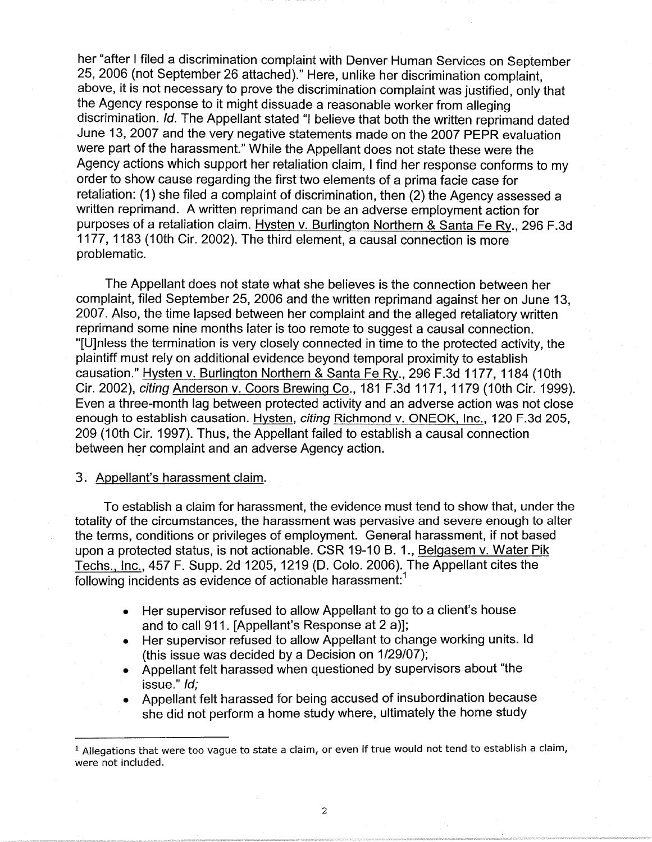her "after I filed a discrimination complaint with Denver Human Services on September 25, 2006 (not September 26 attached)." Here, unlike her discrimination complaint, above, it is not necessary to prove the discrimination complaint was justified, only that the Agency response to it might dissuade a reasonable worker from alleging discrimination. Id. The Appellant stated "I believe that both the written reprimand dated June 13, 2007 and the very negative statements made on the 2007 PEPR evaluation were part of the harassment." While the Appellant does not state these were the Agency actions which support her retaliation claim, I find her response conforms to my order to show cause regarding the first two elements of a prima facie case for retaliation: (1) she filed a complaint of discrimination, then (2) the Agency assessed a written reprimand. A written reprimand can be an adverse employment action for purposes of a retaliation claim. Hysten v. Burlington Northern & Santa Fe Ry., 296 F.3d 1177, 1183 (10th Cir. 2002). The third element, a causal connection is more problematic.

The Appellant does not state what she believes is the connection between her complaint, filed September 25, 2006 and the written reprimand against her on June 13, 2007. Also, the time lapsed between her complaint and the alleged retaliatory written reprimand some nine months later is too remote to suggest a causal connection. "[U]nless the termination is very closely connected in time to the protected activity, the plaintiff must rely on additional evidence beyond temporal proximity to establish causation." Hysten v. Burlington Northern & Santa Fe Ry., 296 F.3d 1177, 1184 (10th Cir. 2002), citing Anderson v. Coors Brewing Co., 181 F.3d 1171, 1179 (10th Cir. 1999). Even a three-month lag between protected activity and an adverse action was not close enough to establish causation. Hysten, citing Richmond v. ONEOK, Inc., 120 F.3d 205, 209 (10th Cir. 1997). Thus, the Appellant failed to establish a causal connection between her complaint and an adverse Agency action.

#### 3. Appellant's harassment claim.

To establish a claim for harassment, the evidence must tend to show that, under the totality of the circumstances, the harassment was pervasive and severe enough to alter the terms, conditions or privileges of employment. General harassment, if not based upon a protected status, is not actionable. CSR 19-10 B. 1., Belgasem v. Water Pik Techs., Inc., 457 F. Supp. 2d 1205, 1219 (D. Colo. 2006). The Appellant cites the following incidents as evidence of actionable harassment:<sup>1</sup>

- Her supervisor refused to allow Appellant to go to a client's house and to call 911. [Appellant's Response at 2 a)];
- Her supervisor refused to allow Appellant to change working units. Id (this issue was decided by a Decision on  $1/29/07$ );
- Appellant felt harassed when questioned by supervisors about "the issue." Id;
- Appellant felt harassed for being accused of insubordination because she did not perform a home study where, ultimately the home study

 $<sup>1</sup>$  Allegations that were too vague to state a claim, or even if true would not tend to establish a claim,</sup> were not included.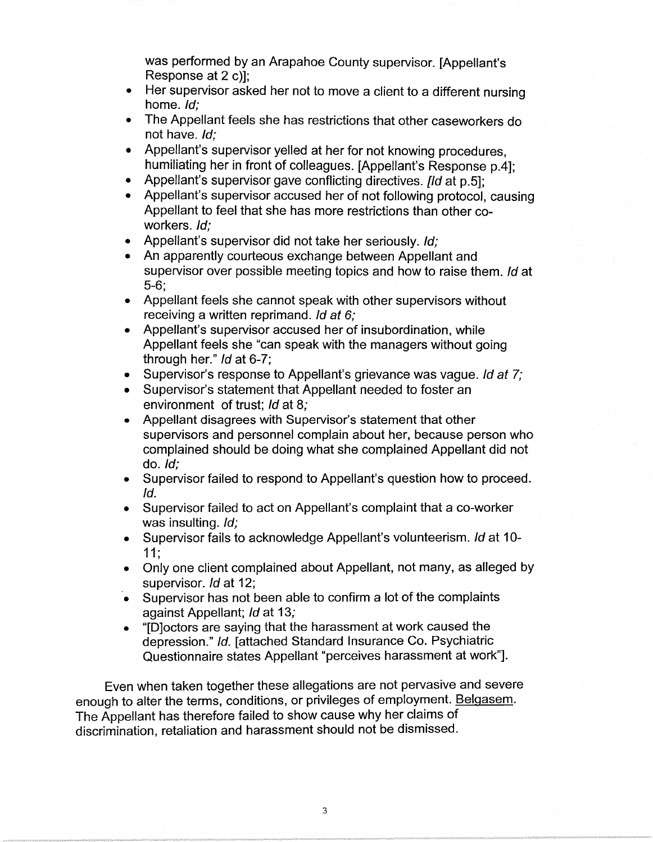was performed by an Arapahoe County supervisor. [Appellant's Response at 2 c)];

- Her supervisor asked her not to move a client to a different nursing home. Id;
- The Appellant feels she has restrictions that other caseworkers do not have. Id;
- Appellant's supervisor yelled at her for not knowing procedures, humiliating her in front of colleagues. [Appellant's Response p.4];
- Appellant's supervisor gave conflicting directives. [Id at p.5];
- Appellant's supervisor accused her of not following protocol, causing Appellant to feel that she has more restrictions than other coworkers. *Id*:
- Appellant's supervisor did not take her seriously. Id:
- An apparently courteous exchange between Appellant and supervisor over possible meeting topics and how to raise them. Id at 5-6;
- Appellant feels she cannot speak with other supervisors without receiving a written reprimand. Id *at* 6;
- Appellant's supervisor accused her of insubordination, while Appellant feels she "can speak with the managers without going through her." Id at 6-7;
- Supervisor's response to Appellant's grievance was vague. Id *at* 7;
- Supervisor's statement that Appellant needed to foster an environment of trust; Id at 8;
- Appellant disagrees with Supervisor's statement that other supervisors and personnel complain about her, because person who complained should be doing what she complained Appellant did not do. Id;
- Supervisor failed to respond to Appellant's question how to proceed. Id.
- Supervisor failed to act on Appellant's complaint that a co-worker was insulting. Id;
- Supervisor fails to acknowledge Appellant's volunteerism. Id at 10-11;
- Only one client complained about Appellant, not many, as alleged by supervisor. *Id* at 12;
- Supervisor has not been able to confirm a lot of the complaints against Appellant; Id at 13;
- "[D]octors are saying that the harassment at work caused the depression." Id. [attached Standard Insurance Co. Psychiatric Questionnaire states Appellant "perceives harassment at work"].

Even when taken together these allegations are not pervasive and severe enough to alter the terms, conditions, or privileges of employment. Belgasem. The Appellant has therefore failed to show cause why her claims of discrimination, retaliation and harassment should not be dismissed.